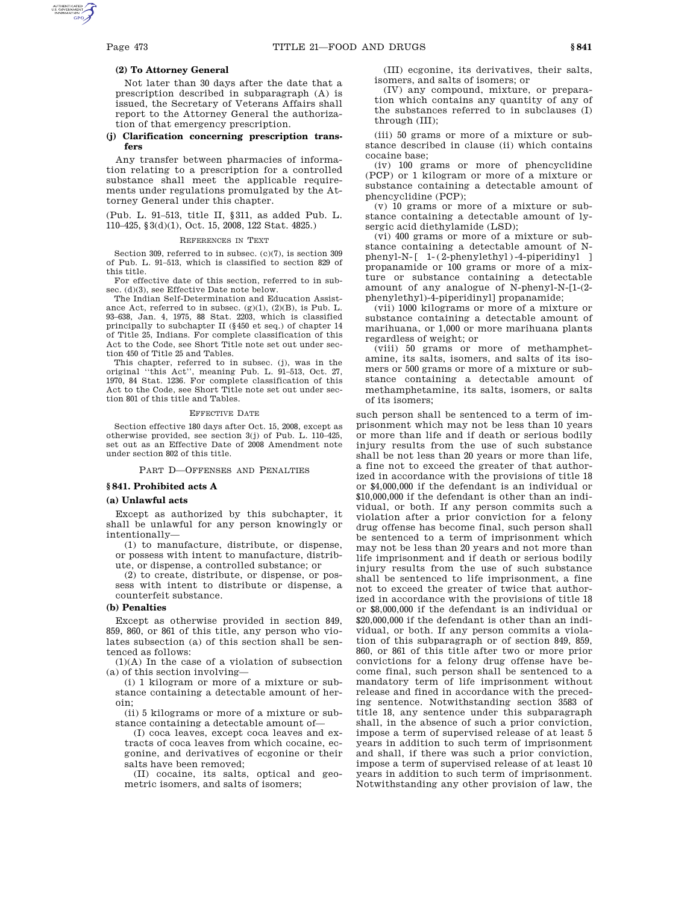# **(2) To Attorney General**

Not later than 30 days after the date that a prescription described in subparagraph (A) is issued, the Secretary of Veterans Affairs shall report to the Attorney General the authorization of that emergency prescription.

# **(j) Clarification concerning prescription transfers**

Any transfer between pharmacies of information relating to a prescription for a controlled substance shall meet the applicable requirements under regulations promulgated by the Attorney General under this chapter.

(Pub. L. 91–513, title II, §311, as added Pub. L. 110–425, §3(d)(1), Oct. 15, 2008, 122 Stat. 4825.)

#### REFERENCES IN TEXT

Section 309, referred to in subsec. (c)(7), is section 309 of Pub. L. 91–513, which is classified to section 829 of this title.

For effective date of this section, referred to in subsec. (d)(3), see Effective Date note below.

The Indian Self-Determination and Education Assistance Act, referred to in subsec.  $(g)(1)$ ,  $(2)(B)$ , is Pub. L. 93–638, Jan. 4, 1975, 88 Stat. 2203, which is classified principally to subchapter II (§450 et seq.) of chapter 14 of Title 25, Indians. For complete classification of this Act to the Code, see Short Title note set out under section 450 of Title 25 and Tables.

This chapter, referred to in subsec. (j), was in the original ''this Act'', meaning Pub. L. 91–513, Oct. 27, 1970, 84 Stat. 1236. For complete classification of this Act to the Code, see Short Title note set out under section 801 of this title and Tables.

### EFFECTIVE DATE

Section effective 180 days after Oct. 15, 2008, except as otherwise provided, see section 3(j) of Pub. L. 110–425, set out as an Effective Date of 2008 Amendment note under section 802 of this title.

PART D—OFFENSES AND PENALTIES

#### **§ 841. Prohibited acts A**

#### **(a) Unlawful acts**

Except as authorized by this subchapter, it shall be unlawful for any person knowingly or intentionally—

(1) to manufacture, distribute, or dispense, or possess with intent to manufacture, distribute, or dispense, a controlled substance; or

(2) to create, distribute, or dispense, or possess with intent to distribute or dispense, a counterfeit substance.

# **(b) Penalties**

Except as otherwise provided in section 849, 859, 860, or 861 of this title, any person who violates subsection (a) of this section shall be sentenced as follows:

 $(1)(A)$  In the case of a violation of subsection (a) of this section involving—

(i) 1 kilogram or more of a mixture or substance containing a detectable amount of heroin;

(ii) 5 kilograms or more of a mixture or substance containing a detectable amount of—

(I) coca leaves, except coca leaves and extracts of coca leaves from which cocaine, ecgonine, and derivatives of ecgonine or their salts have been removed;

(II) cocaine, its salts, optical and geometric isomers, and salts of isomers;

(III) ecgonine, its derivatives, their salts, isomers, and salts of isomers; or

(IV) any compound, mixture, or preparation which contains any quantity of any of the substances referred to in subclauses (I) through (III);

(iii) 50 grams or more of a mixture or substance described in clause (ii) which contains cocaine base;

(iv) 100 grams or more of phencyclidine (PCP) or 1 kilogram or more of a mixture or substance containing a detectable amount of phencyclidine (PCP);

(v) 10 grams or more of a mixture or substance containing a detectable amount of lysergic acid diethylamide (LSD);

(vi) 400 grams or more of a mixture or substance containing a detectable amount of Nphenyl-N-[ 1-(2-phenylethyl)-4-piperidinyl ] propanamide or 100 grams or more of a mixture or substance containing a detectable amount of any analogue of N-phenyl-N-[1-(2 phenylethyl)-4-piperidinyl] propanamide;

(vii) 1000 kilograms or more of a mixture or substance containing a detectable amount of marihuana, or 1,000 or more marihuana plants regardless of weight; or

(viii) 50 grams or more of methamphetamine, its salts, isomers, and salts of its isomers or 500 grams or more of a mixture or substance containing a detectable amount of methamphetamine, its salts, isomers, or salts of its isomers;

such person shall be sentenced to a term of imprisonment which may not be less than 10 years or more than life and if death or serious bodily injury results from the use of such substance shall be not less than 20 years or more than life, a fine not to exceed the greater of that authorized in accordance with the provisions of title 18 or \$4,000,000 if the defendant is an individual or \$10,000,000 if the defendant is other than an individual, or both. If any person commits such a violation after a prior conviction for a felony drug offense has become final, such person shall be sentenced to a term of imprisonment which may not be less than 20 years and not more than life imprisonment and if death or serious bodily injury results from the use of such substance shall be sentenced to life imprisonment, a fine not to exceed the greater of twice that authorized in accordance with the provisions of title 18 or \$8,000,000 if the defendant is an individual or \$20,000,000 if the defendant is other than an individual, or both. If any person commits a violation of this subparagraph or of section 849, 859, 860, or 861 of this title after two or more prior convictions for a felony drug offense have become final, such person shall be sentenced to a mandatory term of life imprisonment without release and fined in accordance with the preceding sentence. Notwithstanding section 3583 of title 18, any sentence under this subparagraph shall, in the absence of such a prior conviction, impose a term of supervised release of at least 5 years in addition to such term of imprisonment and shall, if there was such a prior conviction, impose a term of supervised release of at least 10 years in addition to such term of imprisonment. Notwithstanding any other provision of law, the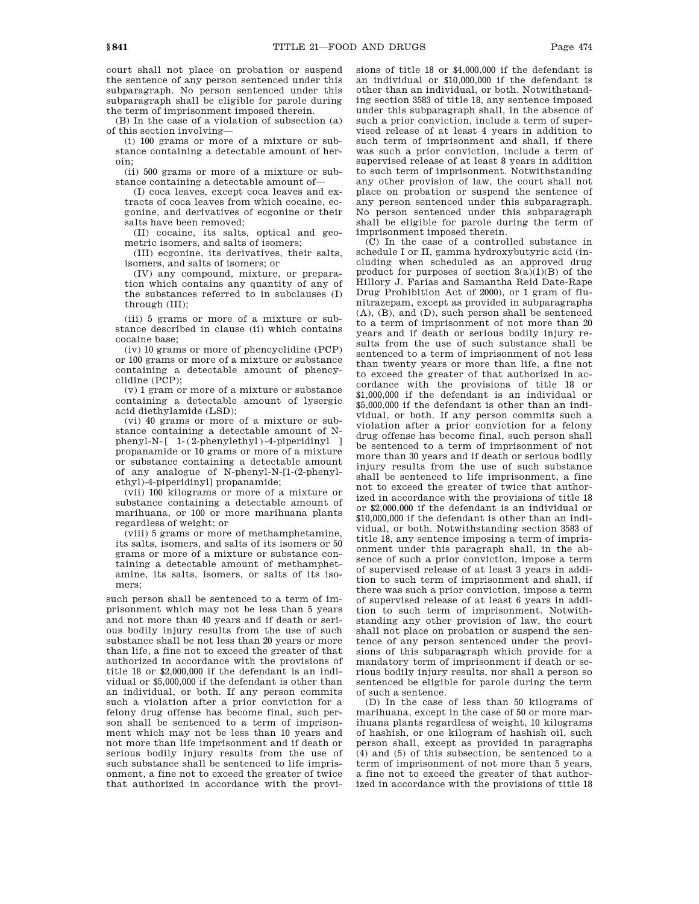court shall not place on probation or suspend the sentence of any person sentenced under this subparagraph. No person sentenced under this subparagraph shall be eligible for parole during the term of imprisonment imposed therein.

(B) In the case of a violation of subsection (a) of this section involving—

(i) 100 grams or more of a mixture or substance containing a detectable amount of heroin;

(ii) 500 grams or more of a mixture or substance containing a detectable amount of—

(I) coca leaves, except coca leaves and extracts of coca leaves from which cocaine, ecgonine, and derivatives of ecgonine or their salts have been removed;

(II) cocaine, its salts, optical and geometric isomers, and salts of isomers;

(III) ecgonine, its derivatives, their salts, isomers, and salts of isomers; or

(IV) any compound, mixture, or preparation which contains any quantity of any of the substances referred to in subclauses (I) through (III);

(iii) 5 grams or more of a mixture or substance described in clause (ii) which contains cocaine base;

(iv) 10 grams or more of phencyclidine (PCP) or 100 grams or more of a mixture or substance containing a detectable amount of phencyclidine (PCP);

(v) 1 gram or more of a mixture or substance containing a detectable amount of lysergic acid diethylamide (LSD);

(vi) 40 grams or more of a mixture or substance containing a detectable amount of Nphenyl-N-[ 1-(2-phenylethyl)-4-piperidinyl ] propanamide or 10 grams or more of a mixture or substance containing a detectable amount of any analogue of N-phenyl-N-[1-(2-phenylethyl)-4-piperidinyl] propanamide;

(vii) 100 kilograms or more of a mixture or substance containing a detectable amount of marihuana, or 100 or more marihuana plants regardless of weight; or

(viii) 5 grams or more of methamphetamine, its salts, isomers, and salts of its isomers or 50 grams or more of a mixture or substance containing a detectable amount of methamphetamine, its salts, isomers, or salts of its isomers;

such person shall be sentenced to a term of imprisonment which may not be less than 5 years and not more than 40 years and if death or serious bodily injury results from the use of such substance shall be not less than 20 years or more than life, a fine not to exceed the greater of that authorized in accordance with the provisions of title 18 or \$2,000,000 if the defendant is an individual or \$5,000,000 if the defendant is other than an individual, or both. If any person commits such a violation after a prior conviction for a felony drug offense has become final, such person shall be sentenced to a term of imprisonment which may not be less than 10 years and not more than life imprisonment and if death or serious bodily injury results from the use of such substance shall be sentenced to life imprisonment, a fine not to exceed the greater of twice that authorized in accordance with the provisions of title 18 or \$4,000,000 if the defendant is an individual or \$10,000,000 if the defendant is other than an individual, or both. Notwithstanding section 3583 of title 18, any sentence imposed under this subparagraph shall, in the absence of such a prior conviction, include a term of supervised release of at least 4 years in addition to such term of imprisonment and shall, if there was such a prior conviction, include a term of supervised release of at least 8 years in addition to such term of imprisonment. Notwithstanding any other provision of law, the court shall not place on probation or suspend the sentence of any person sentenced under this subparagraph. No person sentenced under this subparagraph shall be eligible for parole during the term of imprisonment imposed therein.

(C) In the case of a controlled substance in schedule I or II, gamma hydroxybutyric acid (including when scheduled as an approved drug product for purposes of section 3(a)(1)(B) of the Hillory J. Farias and Samantha Reid Date-Rape Drug Prohibition Act of 2000), or 1 gram of flunitrazepam, except as provided in subparagraphs (A), (B), and (D), such person shall be sentenced to a term of imprisonment of not more than 20 years and if death or serious bodily injury results from the use of such substance shall be sentenced to a term of imprisonment of not less than twenty years or more than life, a fine not to exceed the greater of that authorized in accordance with the provisions of title 18 or \$1,000,000 if the defendant is an individual or \$5,000,000 if the defendant is other than an individual, or both. If any person commits such a violation after a prior conviction for a felony drug offense has become final, such person shall be sentenced to a term of imprisonment of not more than 30 years and if death or serious bodily injury results from the use of such substance shall be sentenced to life imprisonment, a fine not to exceed the greater of twice that authorized in accordance with the provisions of title 18 or \$2,000,000 if the defendant is an individual or \$10,000,000 if the defendant is other than an individual, or both. Notwithstanding section 3583 of title 18, any sentence imposing a term of imprisonment under this paragraph shall, in the absence of such a prior conviction, impose a term of supervised release of at least 3 years in addition to such term of imprisonment and shall, if there was such a prior conviction, impose a term of supervised release of at least 6 years in addition to such term of imprisonment. Notwithstanding any other provision of law, the court shall not place on probation or suspend the sentence of any person sentenced under the provisions of this subparagraph which provide for a mandatory term of imprisonment if death or serious bodily injury results, nor shall a person so sentenced be eligible for parole during the term of such a sentence.

(D) In the case of less than 50 kilograms of marihuana, except in the case of 50 or more marihuana plants regardless of weight, 10 kilograms of hashish, or one kilogram of hashish oil, such person shall, except as provided in paragraphs (4) and (5) of this subsection, be sentenced to a term of imprisonment of not more than 5 years, a fine not to exceed the greater of that authorized in accordance with the provisions of title 18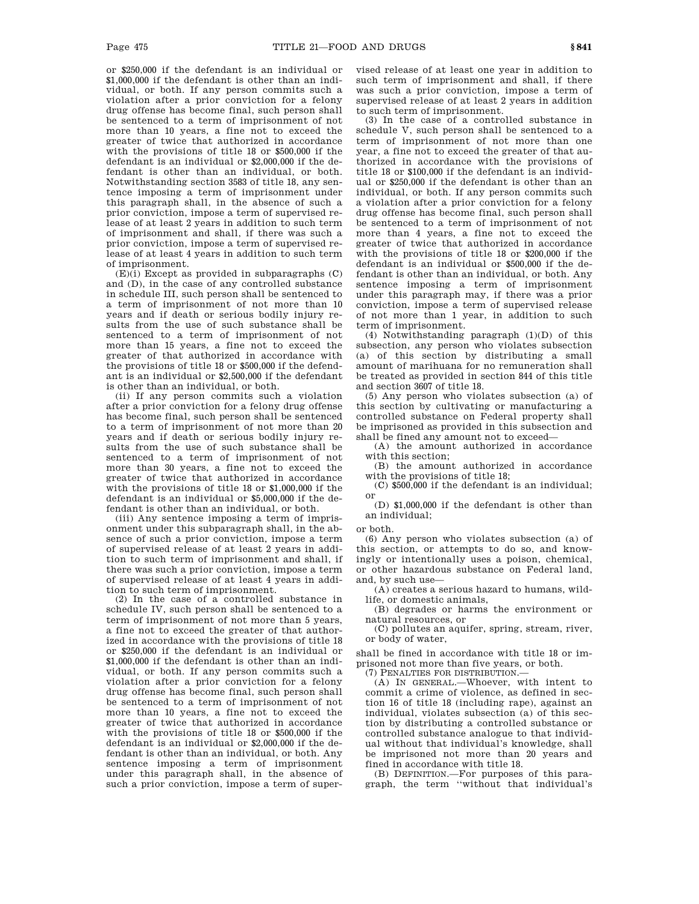or \$250,000 if the defendant is an individual or \$1,000,000 if the defendant is other than an individual, or both. If any person commits such a violation after a prior conviction for a felony drug offense has become final, such person shall be sentenced to a term of imprisonment of not more than 10 years, a fine not to exceed the greater of twice that authorized in accordance with the provisions of title 18 or \$500,000 if the defendant is an individual or \$2,000,000 if the defendant is other than an individual, or both. Notwithstanding section 3583 of title 18, any sentence imposing a term of imprisonment under this paragraph shall, in the absence of such a prior conviction, impose a term of supervised release of at least 2 years in addition to such term of imprisonment and shall, if there was such a prior conviction, impose a term of supervised release of at least 4 years in addition to such term of imprisonment.

 $(E)(i)$  Except as provided in subparagraphs  $(C)$ and (D), in the case of any controlled substance in schedule III, such person shall be sentenced to a term of imprisonment of not more than 10 years and if death or serious bodily injury results from the use of such substance shall be sentenced to a term of imprisonment of not more than 15 years, a fine not to exceed the greater of that authorized in accordance with the provisions of title 18 or \$500,000 if the defendant is an individual or \$2,500,000 if the defendant is other than an individual, or both.

(ii) If any person commits such a violation after a prior conviction for a felony drug offense has become final, such person shall be sentenced to a term of imprisonment of not more than 20 years and if death or serious bodily injury results from the use of such substance shall be sentenced to a term of imprisonment of not more than 30 years, a fine not to exceed the greater of twice that authorized in accordance with the provisions of title 18 or \$1,000,000 if the defendant is an individual or \$5,000,000 if the defendant is other than an individual, or both.

(iii) Any sentence imposing a term of imprisonment under this subparagraph shall, in the absence of such a prior conviction, impose a term of supervised release of at least 2 years in addition to such term of imprisonment and shall, if there was such a prior conviction, impose a term of supervised release of at least 4 years in addition to such term of imprisonment.

(2) In the case of a controlled substance in schedule IV, such person shall be sentenced to a term of imprisonment of not more than 5 years, a fine not to exceed the greater of that authorized in accordance with the provisions of title 18 or \$250,000 if the defendant is an individual or \$1,000,000 if the defendant is other than an individual, or both. If any person commits such a violation after a prior conviction for a felony drug offense has become final, such person shall be sentenced to a term of imprisonment of not more than 10 years, a fine not to exceed the greater of twice that authorized in accordance with the provisions of title 18 or \$500,000 if the defendant is an individual or \$2,000,000 if the defendant is other than an individual, or both. Any sentence imposing a term of imprisonment under this paragraph shall, in the absence of such a prior conviction, impose a term of supervised release of at least one year in addition to such term of imprisonment and shall, if there was such a prior conviction, impose a term of supervised release of at least 2 years in addition to such term of imprisonment.

(3) In the case of a controlled substance in schedule V, such person shall be sentenced to a term of imprisonment of not more than one year, a fine not to exceed the greater of that authorized in accordance with the provisions of title 18 or \$100,000 if the defendant is an individual or \$250,000 if the defendant is other than an individual, or both. If any person commits such a violation after a prior conviction for a felony drug offense has become final, such person shall be sentenced to a term of imprisonment of not more than 4 years, a fine not to exceed the greater of twice that authorized in accordance with the provisions of title 18 or \$200,000 if the defendant is an individual or \$500,000 if the defendant is other than an individual, or both. Any sentence imposing a term of imprisonment under this paragraph may, if there was a prior conviction, impose a term of supervised release of not more than 1 year, in addition to such term of imprisonment.

(4) Notwithstanding paragraph (1)(D) of this subsection, any person who violates subsection (a) of this section by distributing a small amount of marihuana for no remuneration shall be treated as provided in section 844 of this title and section 3607 of title 18.

(5) Any person who violates subsection (a) of this section by cultivating or manufacturing a controlled substance on Federal property shall be imprisoned as provided in this subsection and shall be fined any amount not to exceed—

(A) the amount authorized in accordance with this section;

(B) the amount authorized in accordance with the provisions of title 18;

(C) \$500,000 if the defendant is an individual; or

(D) \$1,000,000 if the defendant is other than an individual;

or both.

(6) Any person who violates subsection (a) of this section, or attempts to do so, and knowingly or intentionally uses a poison, chemical, or other hazardous substance on Federal land, and, by such use—

(A) creates a serious hazard to humans, wildlife, or domestic animals,

(B) degrades or harms the environment or natural resources, or

(C) pollutes an aquifer, spring, stream, river, or body of water,

shall be fined in accordance with title 18 or imprisoned not more than five years, or both.

(7) PENALTIES FOR DISTRIBUTION.—

(A) IN GENERAL.—Whoever, with intent to commit a crime of violence, as defined in section 16 of title 18 (including rape), against an individual, violates subsection (a) of this section by distributing a controlled substance or controlled substance analogue to that individual without that individual's knowledge, shall be imprisoned not more than 20 years and fined in accordance with title 18.

(B) DEFINITION.—For purposes of this paragraph, the term ''without that individual's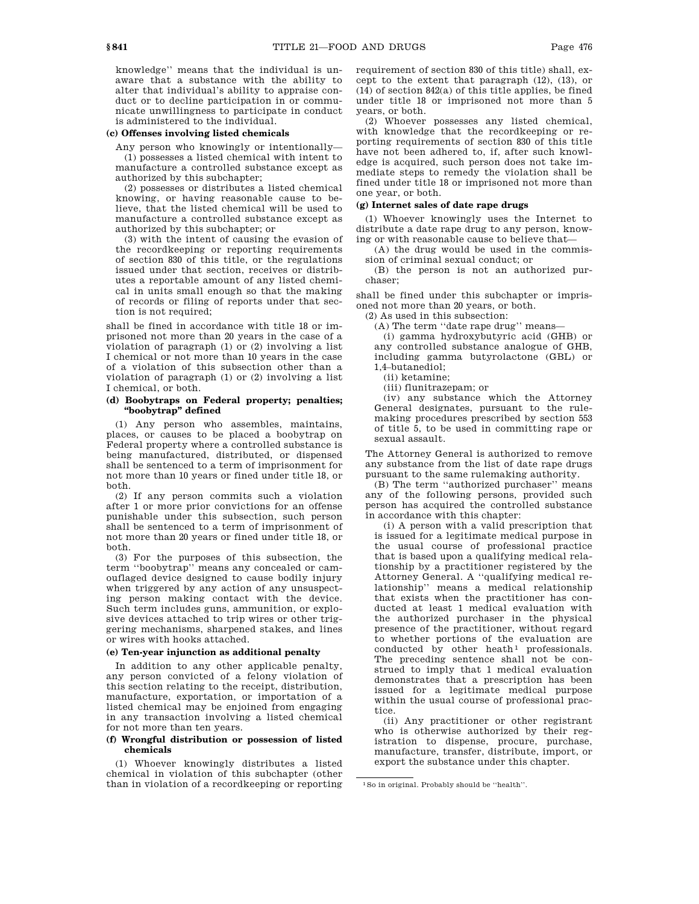knowledge'' means that the individual is unaware that a substance with the ability to alter that individual's ability to appraise conduct or to decline participation in or communicate unwillingness to participate in conduct is administered to the individual.

# **(c) Offenses involving listed chemicals**

Any person who knowingly or intentionally— (1) possesses a listed chemical with intent to manufacture a controlled substance except as authorized by this subchapter;

(2) possesses or distributes a listed chemical knowing, or having reasonable cause to believe, that the listed chemical will be used to manufacture a controlled substance except as authorized by this subchapter; or

(3) with the intent of causing the evasion of the recordkeeping or reporting requirements of section 830 of this title, or the regulations issued under that section, receives or distributes a reportable amount of any listed chemical in units small enough so that the making of records or filing of reports under that section is not required;

shall be fined in accordance with title 18 or imprisoned not more than 20 years in the case of a violation of paragraph (1) or (2) involving a list I chemical or not more than 10 years in the case of a violation of this subsection other than a violation of paragraph (1) or (2) involving a list I chemical, or both.

# **(d) Boobytraps on Federal property; penalties; ''boobytrap'' defined**

(1) Any person who assembles, maintains, places, or causes to be placed a boobytrap on Federal property where a controlled substance is being manufactured, distributed, or dispensed shall be sentenced to a term of imprisonment for not more than 10 years or fined under title 18, or both.

(2) If any person commits such a violation after 1 or more prior convictions for an offense punishable under this subsection, such person shall be sentenced to a term of imprisonment of not more than 20 years or fined under title 18, or both.

(3) For the purposes of this subsection, the term ''boobytrap'' means any concealed or camouflaged device designed to cause bodily injury when triggered by any action of any unsuspecting person making contact with the device. Such term includes guns, ammunition, or explosive devices attached to trip wires or other triggering mechanisms, sharpened stakes, and lines or wires with hooks attached.

# **(e) Ten-year injunction as additional penalty**

In addition to any other applicable penalty, any person convicted of a felony violation of this section relating to the receipt, distribution, manufacture, exportation, or importation of a listed chemical may be enjoined from engaging in any transaction involving a listed chemical for not more than ten years.

# **(f) Wrongful distribution or possession of listed chemicals**

(1) Whoever knowingly distributes a listed chemical in violation of this subchapter (other than in violation of a recordkeeping or reporting requirement of section 830 of this title) shall, except to the extent that paragraph (12), (13), or (14) of section 842(a) of this title applies, be fined under title 18 or imprisoned not more than 5 years, or both.

(2) Whoever possesses any listed chemical, with knowledge that the recordkeeping or reporting requirements of section 830 of this title have not been adhered to, if, after such knowledge is acquired, such person does not take immediate steps to remedy the violation shall be fined under title 18 or imprisoned not more than one year, or both.

# **(g) Internet sales of date rape drugs**

(1) Whoever knowingly uses the Internet to distribute a date rape drug to any person, knowing or with reasonable cause to believe that—

(A) the drug would be used in the commission of criminal sexual conduct; or

(B) the person is not an authorized purchaser;

shall be fined under this subchapter or imprisoned not more than 20 years, or both.

(2) As used in this subsection:

(A) The term ''date rape drug'' means—

(i) gamma hydroxybutyric acid (GHB) or any controlled substance analogue of GHB, including gamma butyrolactone (GBL) or 1,4–butanediol;

(ii) ketamine;

(iii) flunitrazepam; or

(iv) any substance which the Attorney General designates, pursuant to the rulemaking procedures prescribed by section 553 of title 5, to be used in committing rape or sexual assault.

The Attorney General is authorized to remove any substance from the list of date rape drugs pursuant to the same rulemaking authority.

(B) The term ''authorized purchaser'' means any of the following persons, provided such person has acquired the controlled substance in accordance with this chapter:

(i) A person with a valid prescription that is issued for a legitimate medical purpose in the usual course of professional practice that is based upon a qualifying medical relationship by a practitioner registered by the Attorney General. A ''qualifying medical relationship'' means a medical relationship that exists when the practitioner has conducted at least 1 medical evaluation with the authorized purchaser in the physical presence of the practitioner, without regard to whether portions of the evaluation are conducted by other heath<sup>1</sup> professionals. The preceding sentence shall not be construed to imply that 1 medical evaluation demonstrates that a prescription has been issued for a legitimate medical purpose within the usual course of professional practice.

(ii) Any practitioner or other registrant who is otherwise authorized by their registration to dispense, procure, purchase, manufacture, transfer, distribute, import, or export the substance under this chapter.

<sup>1</sup>So in original. Probably should be ''health''.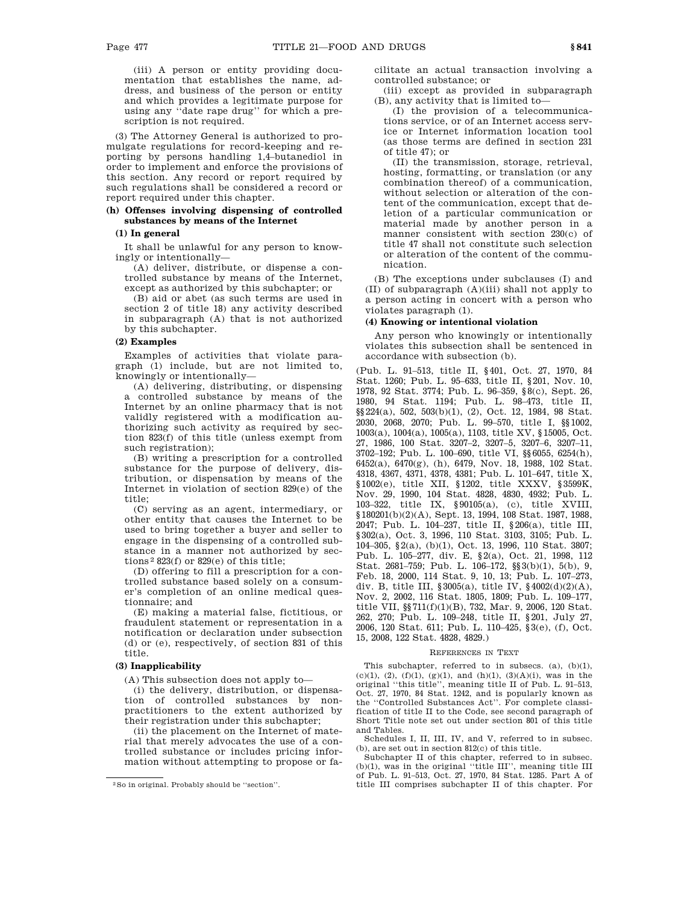(iii) A person or entity providing documentation that establishes the name, address, and business of the person or entity and which provides a legitimate purpose for using any ''date rape drug'' for which a prescription is not required.

(3) The Attorney General is authorized to promulgate regulations for record-keeping and reporting by persons handling 1,4–butanediol in order to implement and enforce the provisions of this section. Any record or report required by such regulations shall be considered a record or report required under this chapter.

# **(h) Offenses involving dispensing of controlled substances by means of the Internet**

# **(1) In general**

It shall be unlawful for any person to knowingly or intentionally—

(A) deliver, distribute, or dispense a controlled substance by means of the Internet, except as authorized by this subchapter; or

(B) aid or abet (as such terms are used in section 2 of title 18) any activity described in subparagraph (A) that is not authorized by this subchapter.

# **(2) Examples**

Examples of activities that violate paragraph (1) include, but are not limited to, knowingly or intentionally—

(A) delivering, distributing, or dispensing a controlled substance by means of the Internet by an online pharmacy that is not validly registered with a modification authorizing such activity as required by section 823(f) of this title (unless exempt from such registration);

(B) writing a prescription for a controlled substance for the purpose of delivery, distribution, or dispensation by means of the Internet in violation of section 829(e) of the title;

(C) serving as an agent, intermediary, or other entity that causes the Internet to be used to bring together a buyer and seller to engage in the dispensing of a controlled substance in a manner not authorized by sections 2 823(f) or 829(e) of this title;

(D) offering to fill a prescription for a controlled substance based solely on a consumer's completion of an online medical questionnaire; and

(E) making a material false, fictitious, or fraudulent statement or representation in a notification or declaration under subsection (d) or (e), respectively, of section 831 of this title.

# **(3) Inapplicability**

(A) This subsection does not apply to—

(i) the delivery, distribution, or dispensation of controlled substances by nonpractitioners to the extent authorized by their registration under this subchapter;

(ii) the placement on the Internet of material that merely advocates the use of a controlled substance or includes pricing information without attempting to propose or facilitate an actual transaction involving a controlled substance; or

(iii) except as provided in subparagraph (B), any activity that is limited to—

(I) the provision of a telecommunications service, or of an Internet access service or Internet information location tool (as those terms are defined in section 231 of title 47); or

(II) the transmission, storage, retrieval, hosting, formatting, or translation (or any combination thereof) of a communication, without selection or alteration of the content of the communication, except that deletion of a particular communication or material made by another person in a manner consistent with section 230(c) of title 47 shall not constitute such selection or alteration of the content of the communication.

(B) The exceptions under subclauses (I) and (II) of subparagraph (A)(iii) shall not apply to a person acting in concert with a person who violates paragraph (1).

# **(4) Knowing or intentional violation**

Any person who knowingly or intentionally violates this subsection shall be sentenced in accordance with subsection (b).

(Pub. L. 91–513, title II, §401, Oct. 27, 1970, 84 Stat. 1260; Pub. L. 95–633, title II, §201, Nov. 10, 1978, 92 Stat. 3774; Pub. L. 96–359, §8(c), Sept. 26, 1980, 94 Stat. 1194; Pub. L. 98–473, title II, §§224(a), 502, 503(b)(1), (2), Oct. 12, 1984, 98 Stat. 2030, 2068, 2070; Pub. L. 99–570, title I, §§1002, 1003(a), 1004(a), 1005(a), 1103, title XV, §15005, Oct. 27, 1986, 100 Stat. 3207–2, 3207–5, 3207–6, 3207–11, 3702–192; Pub. L. 100–690, title VI, §§6055, 6254(h), 6452(a), 6470(g), (h), 6479, Nov. 18, 1988, 102 Stat. 4318, 4367, 4371, 4378, 4381; Pub. L. 101–647, title X, §1002(e), title XII, §1202, title XXXV, §3599K, Nov. 29, 1990, 104 Stat. 4828, 4830, 4932; Pub. L. 103–322, title IX, §90105(a), (c), title XVIII, §180201(b)(2)(A), Sept. 13, 1994, 108 Stat. 1987, 1988, 2047; Pub. L. 104–237, title II, §206(a), title III, §302(a), Oct. 3, 1996, 110 Stat. 3103, 3105; Pub. L. 104–305, §2(a), (b)(1), Oct. 13, 1996, 110 Stat. 3807; Pub. L. 105–277, div. E, §2(a), Oct. 21, 1998, 112 Stat. 2681–759; Pub. L. 106–172, §§3(b)(1), 5(b), 9, Feb. 18, 2000, 114 Stat. 9, 10, 13; Pub. L. 107–273, div. B, title III, §3005(a), title IV, §4002(d)(2)(A), Nov. 2, 2002, 116 Stat. 1805, 1809; Pub. L. 109–177, title VII, §§711(f)(1)(B), 732, Mar. 9, 2006, 120 Stat. 262, 270; Pub. L. 109–248, title II, §201, July 27, 2006, 120 Stat. 611; Pub. L. 110–425, §3(e), (f), Oct. 15, 2008, 122 Stat. 4828, 4829.)

#### REFERENCES IN TEXT

This subchapter, referred to in subsecs. (a), (b)(1), (c)(1), (2), (f)(1), (g)(1), and (h)(1), (3)(A)(i), was in the original ''this title'', meaning title II of Pub. L. 91–513, Oct. 27, 1970, 84 Stat. 1242, and is popularly known as the ''Controlled Substances Act''. For complete classification of title II to the Code, see second paragraph of Short Title note set out under section 801 of this title and Tables.

Schedules I, II, III, IV, and V, referred to in subsec. (b), are set out in section 812(c) of this title.

Subchapter II of this chapter, referred to in subsec. (b)(1), was in the original ''title III'', meaning title III of Pub. L. 91–513, Oct. 27, 1970, 84 Stat. 1285. Part A of title III comprises subchapter II of this chapter. For

<sup>2</sup>So in original. Probably should be ''section''.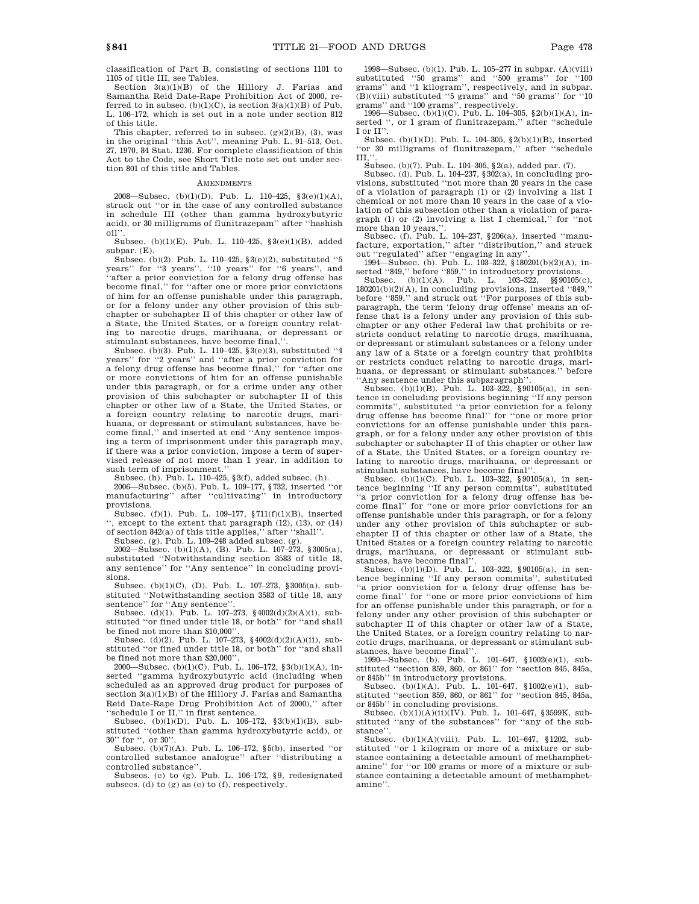classification of Part B, consisting of sections 1101 to 1105 of title III, see Tables.

Section 3(a)(1)(B) of the Hillory J. Farias and Samantha Reid Date-Rape Prohibition Act of 2000, referred to in subsec. (b)(1)(C), is section 3(a)(1)(B) of Pub. L. 106–172, which is set out in a note under section 812 of this title.

This chapter, referred to in subsec. (g)(2)(B), (3), was in the original ''this Act'', meaning Pub. L. 91–513, Oct. 27, 1970, 84 Stat. 1236. For complete classification of this Act to the Code, see Short Title note set out under section 801 of this title and Tables.

#### AMENDMENTS

2008—Subsec. (b)(1)(D). Pub. L. 110–425, §3(e)(1)(A), struck out ''or in the case of any controlled substance in schedule III (other than gamma hydroxybutyric acid), or 30 milligrams of flunitrazepam'' after ''hashish oil''.

Subsec. (b)(1)(E). Pub. L. 110–425, §3(e)(1)(B), added subpar. (E).

Subsec. (b)(2). Pub. L. 110–425, §3(e)(2), substituted ''5 years'' for ''3 years'', ''10 years'' for ''6 years'', and 'after a prior conviction for a felony drug offense has become final,'' for ''after one or more prior convictions of him for an offense punishable under this paragraph, or for a felony under any other provision of this subchapter or subchapter II of this chapter or other law of a State, the United States, or a foreign country relating to narcotic drugs, marihuana, or depressant or stimulant substances, have become final,'

Subsec. (b)(3). Pub. L. 110–425, §3(e)(3), substituted ''4 years'' for ''2 years'' and ''after a prior conviction for a felony drug offense has become final,'' for ''after one or more convictions of him for an offense punishable under this paragraph, or for a crime under any other provision of this subchapter or subchapter II of this chapter or other law of a State, the United States, or a foreign country relating to narcotic drugs, marihuana, or depressant or stimulant substances, have become final,'' and inserted at end ''Any sentence imposing a term of imprisonment under this paragraph may, if there was a prior conviction, impose a term of supervised release of not more than 1 year, in addition to such term of imprisonment.''

Subsec. (h). Pub. L. 110–425, §3(f), added subsec. (h).

2006—Subsec. (b)(5). Pub. L. 109–177, §732, inserted ''or manufacturing'' after ''cultivating'' in introductory provisions.

Subsec. (f)(1). Pub. L. 109–177, §711(f)(1)(B), inserted '', except to the extent that paragraph (12), (13), or (14) of section 842(a) of this title applies,'' after ''shall''.

Subsec. (g). Pub. L. 109–248 added subsec. (g).

2002—Subsec. (b)(1)(A), (B). Pub. L. 107–273, §3005(a), substituted ''Notwithstanding section 3583 of title 18, any sentence'' for ''Any sentence'' in concluding provisions.

Subsec. (b)(1)(C), (D). Pub. L. 107–273, §3005(a), substituted ''Notwithstanding section 3583 of title 18, any sentence'' for "Any sentence".

Subsec. (d)(1). Pub. L. 107–273,  $\frac{1002(d)(2)(A)(i)}{20(d)(2)}$ , substituted ''or fined under title 18, or both'' for ''and shall be fined not more than \$10,000''.

Subsec. (d)(2). Pub. L. 107–273, §4002(d)(2)(A)(ii), substituted ''or fined under title 18, or both'' for ''and shall be fined not more than \$20,000".

2000—Subsec. (b)(1)(C). Pub. L. 106–172, §3(b)(1)(A), inserted ''gamma hydroxybutyric acid (including when scheduled as an approved drug product for purposes of section 3(a)(1)(B) of the Hillory J. Farias and Samantha Reid Date-Rape Drug Prohibition Act of 2000),'' after ''schedule I or II,'' in first sentence.

Subsec. (b)(1)(D). Pub. L. 106–172, §3(b)(1)(B), substituted ''(other than gamma hydroxybutyric acid), or 30'' for '', or 30''.

Subsec. (b)(7)(A). Pub. L. 106–172, §5(b), inserted ''or controlled substance analogue'' after ''distributing a controlled substance''.

Subsecs. (c) to (g). Pub. L. 106-172, §9, redesignated subsecs. (d) to (g) as (c) to (f), respectively.

1998—Subsec. (b)(1). Pub. L. 105–277 in subpar. (A)(viii) substituted ''50 grams'' and ''500 grams'' for ''100 grams'' and ''1 kilogram'', respectively, and in subpar. (B)(viii) substituted ''5 grams'' and ''50 grams'' for ''10 grams'' and ''100 grams'', respectively. 1996—Subsec. (b)(1)(C). Pub. L. 104–305, §2(b)(1)(A), in-

serted '', or 1 gram of flunitrazepam,'' after ''schedule I or II''.

Subsec. (b)(1)(D). Pub. L. 104–305,  $\S$ 2(b)(1)(B), inserted ''or 30 milligrams of flunitrazepam,'' after ''schedule  $III$ ,

Subsec. (b)(7). Pub. L. 104–305, §2(a), added par. (7).

Subsec. (d). Pub. L. 104–237, §302(a), in concluding provisions, substituted ''not more than 20 years in the case of a violation of paragraph (1) or (2) involving a list I chemical or not more than 10 years in the case of a violation of this subsection other than a violation of paragraph (1) or (2) involving a list I chemical,'' for ''not

more than 10 years,''. Subsec. (f). Pub. L. 104–237, §206(a), inserted ''manu-facture, exportation,'' after ''distribution,'' and struck out ''regulated'' after ''engaging in any''. 1994—Subsec. (b). Pub. L. 103–322, §180201(b)(2)(A), in-

serted ''849,'' before ''859,'' in introductory provisions.<br>Subsec. (b)(1)(A). Pub. L. 103–322, §§90105(c),

180201(b)(2)(A), in concluding provisions, inserted ''849,'' before ''859,'' and struck out ''For purposes of this subparagraph, the term 'felony drug offense' means an offense that is a felony under any provision of this subchapter or any other Federal law that prohibits or restricts conduct relating to narcotic drugs, marihuana, or depressant or stimulant substances or a felony under any law of a State or a foreign country that prohibits or restricts conduct relating to narcotic drugs, marihuana, or depressant or stimulant substances.'' before 'Any sentence under this subparagraph'

Subsec.  $(b)(1)(B)$ . Pub. L. 103-322, §90105(a), in sentence in concluding provisions beginning ''If any person commits'', substituted ''a prior conviction for a felony drug offense has become final'' for ''one or more prior convictions for an offense punishable under this paragraph, or for a felony under any other provision of this subchapter or subchapter II of this chapter or other law of a State, the United States, or a foreign country relating to narcotic drugs, marihuana, or depressant or stimulant substances, have become final''.

Subsec. (b)(1)(C). Pub. L. 103–322, §90105(a), in sentence beginning ''If any person commits'', substituted ''a prior conviction for a felony drug offense has become final'' for ''one or more prior convictions for an offense punishable under this paragraph, or for a felony under any other provision of this subchapter or subchapter II of this chapter or other law of a State, the United States or a foreign country relating to narcotic drugs, marihuana, or depressant or stimulant substances, have become final''.

Subsec. (b)(1)(D). Pub. L. 103–322, §90105(a), in sentence beginning ''If any person commits'', substituted ''a prior conviction for a felony drug offense has become final'' for ''one or more prior convictions of him for an offense punishable under this paragraph, or for a felony under any other provision of this subchapter or subchapter II of this chapter or other law of a State, the United States, or a foreign country relating to narcotic drugs, marihuana, or depressant or stimulant substances, have become final''.

1990—Subsec. (b). Pub. L. 101–647, §1002(e)(1), substituted ''section 859, 860, or 861'' for ''section 845, 845a, or 845b'' in introductory provisions.

Subsec. (b)(1)(A). Pub. L. 101–647, §1002(e)(1), substituted ''section 859, 860, or 861'' for ''section 845, 845a, or 845b'' in concluding provisions.

Subsec. (b)(1)(A)(ii)(IV). Pub. L. 101–647, §3599K, substituted ''any of the substances'' for ''any of the substance''.

Subsec. (b)(1)(A)(viii). Pub. L. 101–647, §1202, substituted ''or 1 kilogram or more of a mixture or substance containing a detectable amount of methamphetamine'' for ''or 100 grams or more of a mixture or substance containing a detectable amount of methamphetamine''.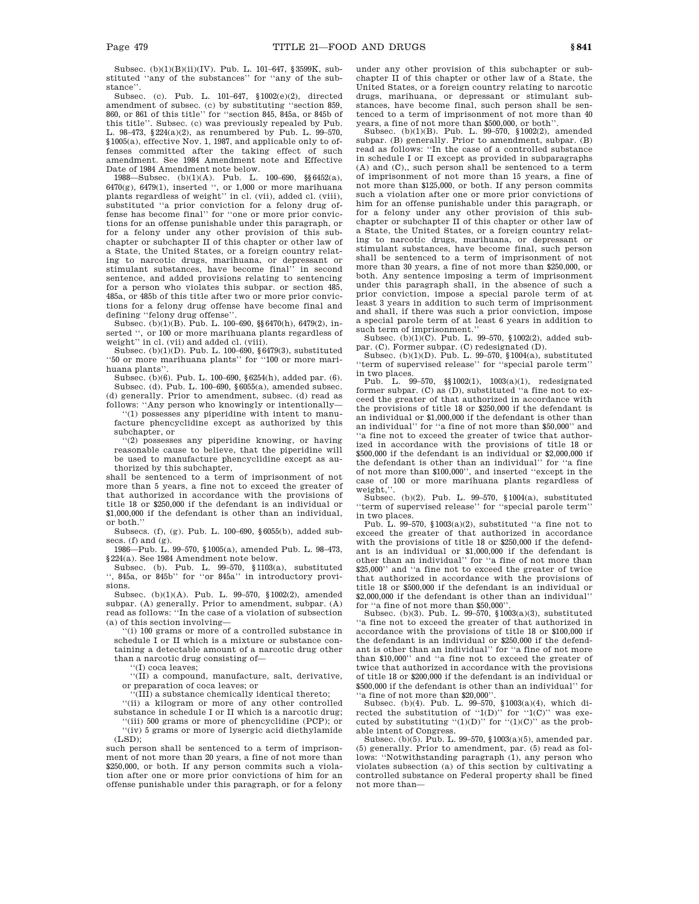Subsec. (b)(1)(B)(ii)(IV). Pub. L. 101–647, §3599K, substituted ''any of the substances'' for ''any of the substance''.

Subsec. (c). Pub. L. 101–647, §1002(e)(2), directed amendment of subsec. (c) by substituting ''section 859, 860, or 861 of this title'' for ''section 845, 845a, or 845b of this title''. Subsec. (c) was previously repealed by Pub. L. 98–473, §224(a)(2), as renumbered by Pub. L. 99–570, §1005(a), effective Nov. 1, 1987, and applicable only to offenses committed after the taking effect of such amendment. See 1984 Amendment note and Effective Date of 1984 Amendment note below.

1988—Subsec. (b)(1)(A). Pub. L. 100–690, §§6452(a),  $6470(g)$ ,  $6479(1)$ , inserted ", or 1,000 or more marihuana plants regardless of weight'' in cl. (vii), added cl. (viii), substituted "a prior conviction for a felony drug offense has become final'' for ''one or more prior convictions for an offense punishable under this paragraph, or for a felony under any other provision of this subchapter or subchapter II of this chapter or other law of a State, the United States, or a foreign country relating to narcotic drugs, marihuana, or depressant or stimulant substances, have become final'' in second sentence, and added provisions relating to sentencing for a person who violates this subpar. or section 485, 485a, or 485b of this title after two or more prior convictions for a felony drug offense have become final and defining ''felony drug offense''.

Subsec. (b)(1)(B). Pub. L. 100–690, §§6470(h), 6479(2), inserted '', or 100 or more marihuana plants regardless of weight'' in cl. (vii) and added cl. (viii).

Subsec. (b)(1)(D). Pub. L. 100–690, §6479(3), substituted ''50 or more marihuana plants'' for ''100 or more marihuana plants''.

Subsec. (b)(6). Pub. L. 100–690, §6254(h), added par. (6). Subsec. (d). Pub. L. 100–690, §6055(a), amended subsec. (d) generally. Prior to amendment, subsec. (d) read as follows: ''Any person who knowingly or intentionally—

''(1) possesses any piperidine with intent to manufacture phencyclidine except as authorized by this subchapter, or

''(2) possesses any piperidine knowing, or having reasonable cause to believe, that the piperidine will be used to manufacture phencyclidine except as authorized by this subchapter,

shall be sentenced to a term of imprisonment of not more than 5 years, a fine not to exceed the greater of that authorized in accordance with the provisions of title 18 or \$250,000 if the defendant is an individual or \$1,000,000 if the defendant is other than an individual, or both.''

Subsecs. (f), (g). Pub. L. 100–690, §6055(b), added subsecs. (f) and (g).

1986—Pub. L. 99–570, §1005(a), amended Pub. L. 98–473, §224(a). See 1984 Amendment note below.

Subsec. (b). Pub. L. 99–570, §1103(a), substituted '', 845a, or 845b'' for ''or 845a'' in introductory provisions.

Subsec. (b)(1)(A). Pub. L. 99–570, §1002(2), amended subpar. (A) generally. Prior to amendment, subpar. (A) read as follows: ''In the case of a violation of subsection (a) of this section involving—

''(i) 100 grams or more of a controlled substance in schedule I or II which is a mixture or substance containing a detectable amount of a narcotic drug other than a narcotic drug consisting of—

'(I) coca leaves;

''(II) a compound, manufacture, salt, derivative, or preparation of coca leaves; or

'(III) a substance chemically identical thereto;

''(ii) a kilogram or more of any other controlled

substance in schedule I or II which is a narcotic drug; ''(iii) 500 grams or more of phencyclidine (PCP); or ''(iv) 5 grams or more of lysergic acid diethylamide

 $(T.SD)$ ; such person shall be sentenced to a term of imprisonment of not more than 20 years, a fine of not more than \$250,000, or both. If any person commits such a violation after one or more prior convictions of him for an

offense punishable under this paragraph, or for a felony

under any other provision of this subchapter or subchapter II of this chapter or other law of a State, the United States, or a foreign country relating to narcotic drugs, marihuana, or depressant or stimulant substances, have become final, such person shall be sentenced to a term of imprisonment of not more than 40 years, a fine of not more than \$500,000, or both''.

Subsec. (b)(1)(B). Pub. L. 99–570, §1002(2), amended subpar. (B) generally. Prior to amendment, subpar. (B) read as follows: ''In the case of a controlled substance in schedule I or II except as provided in subparagraphs (A) and (C),, such person shall be sentenced to a term of imprisonment of not more than 15 years, a fine of not more than \$125,000, or both. If any person commits such a violation after one or more prior convictions of him for an offense punishable under this paragraph, or for a felony under any other provision of this subchapter or subchapter II of this chapter or other law of a State, the United States, or a foreign country relating to narcotic drugs, marihuana, or depressant or stimulant substances, have become final, such person shall be sentenced to a term of imprisonment of not more than 30 years, a fine of not more than \$250,000, or both. Any sentence imposing a term of imprisonment under this paragraph shall, in the absence of such a prior conviction, impose a special parole term of at least 3 years in addition to such term of imprisonment and shall, if there was such a prior conviction, impose a special parole term of at least 6 years in addition to such term of imprisonment.'' Subsec. (b)(1)(C). Pub. L. 99–570, §1002(2), added sub-

par. (C). Former subpar. (C) redesignated (D). Subsec. (b)(1)(D). Pub. L. 99–570, §1004(a), substituted

''term of supervised release'' for ''special parole term'' in two places.

Pub. L. 99–570, §§1002(1), 1003(a)(1), redesignated former subpar. (C) as (D), substituted ''a fine not to exceed the greater of that authorized in accordance with the provisions of title 18 or \$250,000 if the defendant is an individual or \$1,000,000 if the defendant is other than an individual'' for ''a fine of not more than \$50,000'' and ''a fine not to exceed the greater of twice that authorized in accordance with the provisions of title 18 or \$500,000 if the defendant is an individual or \$2,000,000 if the defendant is other than an individual'' for ''a fine of not more than \$100,000'', and inserted ''except in the case of 100 or more marihuana plants regardless of weight, '

Subsec. (b)(2). Pub. L. 99–570, §1004(a), substituted ''term of supervised release'' for ''special parole term'' in two places.

Pub. L. 99–570, §1003(a)(2), substituted ''a fine not to exceed the greater of that authorized in accordance with the provisions of title 18 or \$250,000 if the defendant is an individual or \$1,000,000 if the defendant is other than an individual'' for ''a fine of not more than \$25,000'' and ''a fine not to exceed the greater of twice that authorized in accordance with the provisions of title 18 or \$500,000 if the defendant is an individual or \$2,000,000 if the defendant is other than an individual'' for ''a fine of not more than \$50,000''.

Subsec. (b)(3). Pub. L. 99–570, §1003(a)(3), substituted ''a fine not to exceed the greater of that authorized in accordance with the provisions of title 18 or \$100,000 if the defendant is an individual or \$250,000 if the defend-ant is other than an individual'' for ''a fine of not more than \$10,000'' and ''a fine not to exceed the greater of twice that authorized in accordance with the provisions of title 18 or \$200,000 if the defendant is an individual or \$500,000 if the defendant is other than an individual'' for ''a fine of not more than \$20,000''.

Subsec. (b)(4). Pub. L. 99–570, §1003(a)(4), which directed the substitution of  $`1(D)"$  for  $`1(C)"$  was executed by substituting  $((1)(D))$  for  $((1)(C))$  as the probable intent of Congress.

Subsec. (b)(5). Pub. L. 99–570, §1003(a)(5), amended par. (5) generally. Prior to amendment, par. (5) read as follows: ''Notwithstanding paragraph (1), any person who violates subsection (a) of this section by cultivating a controlled substance on Federal property shall be fined not more than